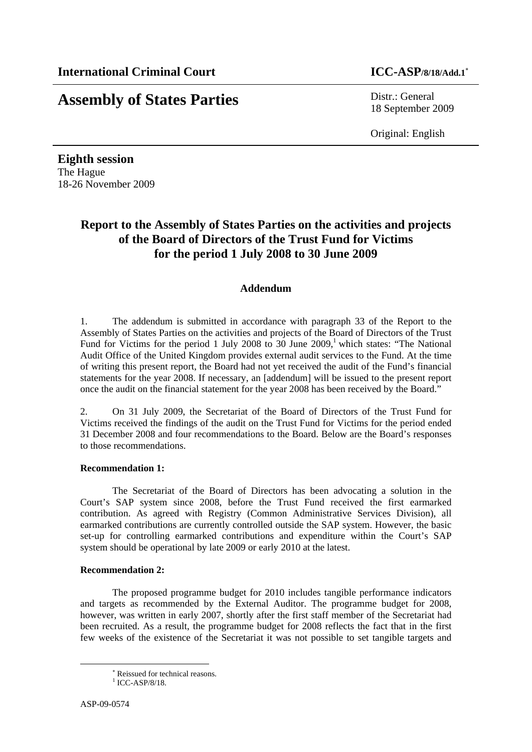# **Assembly of States Parties** Distr.: General

18 September 2009

Original: English

**Eighth session**  The Hague 18-26 November 2009

## **Report to the Assembly of States Parties on the activities and projects of the Board of Directors of the Trust Fund for Victims for the period 1 July 2008 to 30 June 2009**

### **Addendum**

1. The addendum is submitted in accordance with paragraph 33 of the Report to the Assembly of States Parties on the activities and projects of the Board of Directors of the Trust Fund for Victims for the period 1 July 2008 to 30 June 2009,<sup>1</sup> which states: "The National Audit Office of the United Kingdom provides external audit services to the Fund. At the time of writing this present report, the Board had not yet received the audit of the Fund's financial statements for the year 2008. If necessary, an [addendum] will be issued to the present report once the audit on the financial statement for the year 2008 has been received by the Board."

2. On 31 July 2009, the Secretariat of the Board of Directors of the Trust Fund for Victims received the findings of the audit on the Trust Fund for Victims for the period ended 31 December 2008 and four recommendations to the Board. Below are the Board's responses to those recommendations.

#### **Recommendation 1:**

The Secretariat of the Board of Directors has been advocating a solution in the Court's SAP system since 2008, before the Trust Fund received the first earmarked contribution. As agreed with Registry (Common Administrative Services Division), all earmarked contributions are currently controlled outside the SAP system. However, the basic set-up for controlling earmarked contributions and expenditure within the Court's SAP system should be operational by late 2009 or early 2010 at the latest.

#### **Recommendation 2:**

The proposed programme budget for 2010 includes tangible performance indicators and targets as recommended by the External Auditor. The programme budget for 2008, however, was written in early 2007, shortly after the first staff member of the Secretariat had been recruited. As a result, the programme budget for 2008 reflects the fact that in the first few weeks of the existence of the Secretariat it was not possible to set tangible targets and

l

<sup>∗</sup> Reissued for technical reasons.

 $1$  ICC-ASP/8/18.